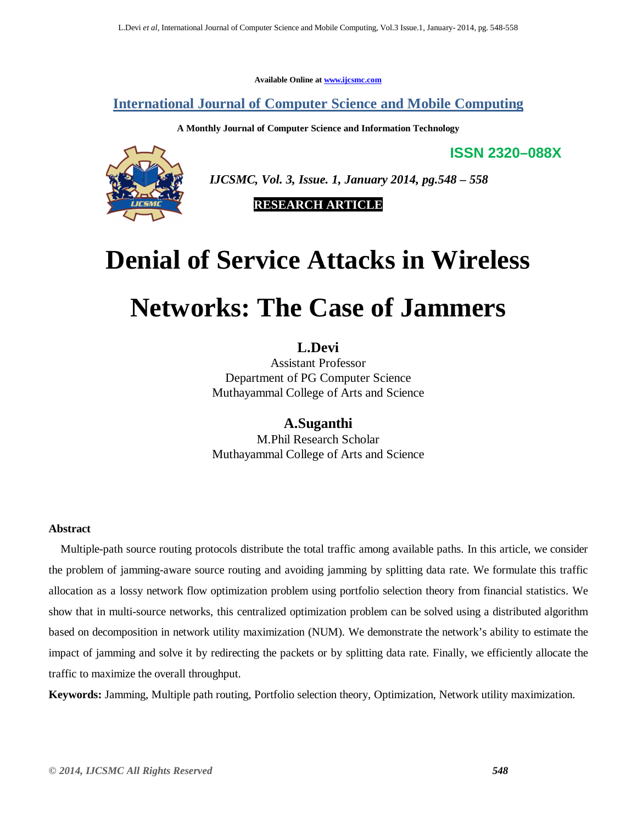**Available Online at www.ijcsmc.com**

**International Journal of Computer Science and Mobile Computing**

**A Monthly Journal of Computer Science and Information Technology**

**ISSN 2320–088X**



 *IJCSMC, Vol. 3, Issue. 1, January 2014, pg.548 – 558*

**RESEARCH ARTICLE**

# **Denial of Service Attacks in Wireless**

# **Networks: The Case of Jammers**

**L.Devi**

Assistant Professor Department of PG Computer Science Muthayammal College of Arts and Science

**A.Suganthi** M.Phil Research Scholar Muthayammal College of Arts and Science

#### **Abstract**

 Multiple-path source routing protocols distribute the total traffic among available paths. In this article, we consider the problem of jamming-aware source routing and avoiding jamming by splitting data rate. We formulate this traffic allocation as a lossy network flow optimization problem using portfolio selection theory from financial statistics. We show that in multi-source networks, this centralized optimization problem can be solved using a distributed algorithm based on decomposition in network utility maximization (NUM). We demonstrate the network's ability to estimate the impact of jamming and solve it by redirecting the packets or by splitting data rate. Finally, we efficiently allocate the traffic to maximize the overall throughput.

**Keywords:** Jamming, Multiple path routing, Portfolio selection theory, Optimization, Network utility maximization.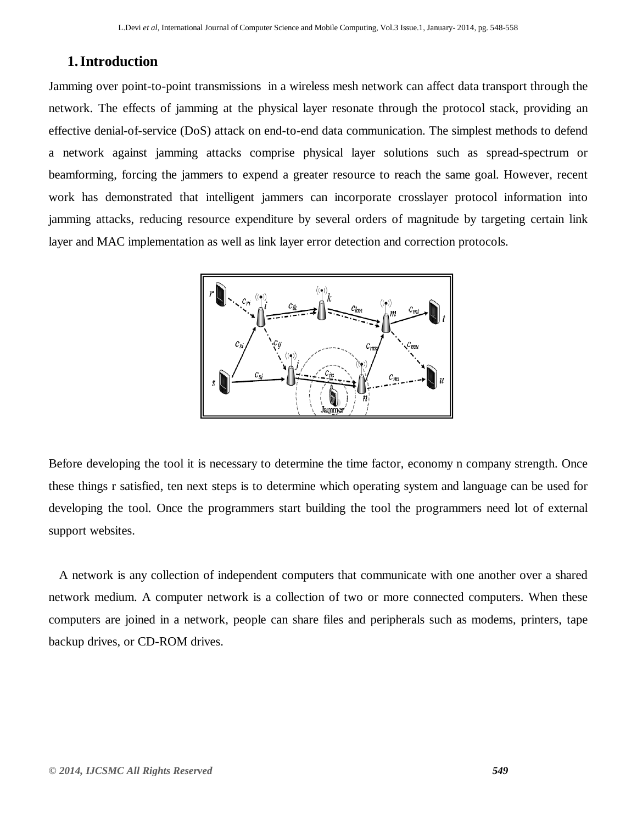#### **1.Introduction**

Jamming over point-to-point transmissions in a wireless mesh network can affect data transport through the network. The effects of jamming at the physical layer resonate through the protocol stack, providing an effective denial-of-service (DoS) attack on end-to-end data communication. The simplest methods to defend a network against jamming attacks comprise physical layer solutions such as spread-spectrum or beamforming, forcing the jammers to expend a greater resource to reach the same goal. However, recent work has demonstrated that intelligent jammers can incorporate crosslayer protocol information into jamming attacks, reducing resource expenditure by several orders of magnitude by targeting certain link layer and MAC implementation as well as link layer error detection and correction protocols.



Before developing the tool it is necessary to determine the time factor, economy n company strength. Once these things r satisfied, ten next steps is to determine which operating system and language can be used for developing the tool. Once the programmers start building the tool the programmers need lot of external support websites.

A network is any collection of independent computers that communicate with one another over a shared network medium. A computer network is a collection of two or more connected computers. When these computers are joined in a network, people can share files and peripherals such as modems, printers, tape backup drives, or CD-ROM drives.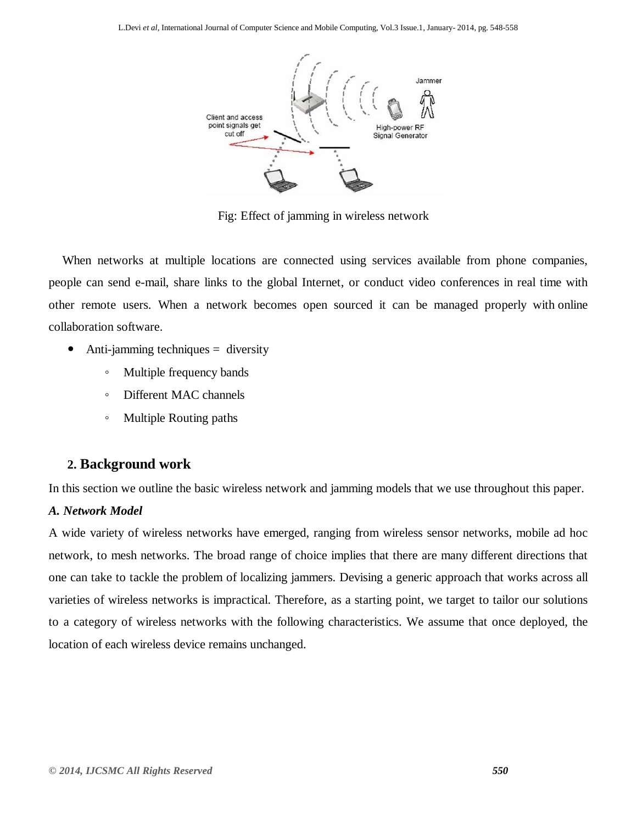

Fig: Effect of jamming in wireless network

When networks at multiple locations are connected using services available from phone companies, people can send e-mail, share links to the global Internet, or conduct video conferences in real time with other remote users. When a network becomes open sourced it can be managed properly with online collaboration software.

- Anti-jamming techniques = diversity
	- Multiple frequency bands
	- Different MAC channels
	- Multiple Routing paths

### **2. Background work**

In this section we outline the basic wireless network and jamming models that we use throughout this paper.

#### *A. Network Model*

A wide variety of wireless networks have emerged, ranging from wireless sensor networks, mobile ad hoc network, to mesh networks. The broad range of choice implies that there are many different directions that one can take to tackle the problem of localizing jammers. Devising a generic approach that works across all varieties of wireless networks is impractical. Therefore, as a starting point, we target to tailor our solutions to a category of wireless networks with the following characteristics. We assume that once deployed, the location of each wireless device remains unchanged.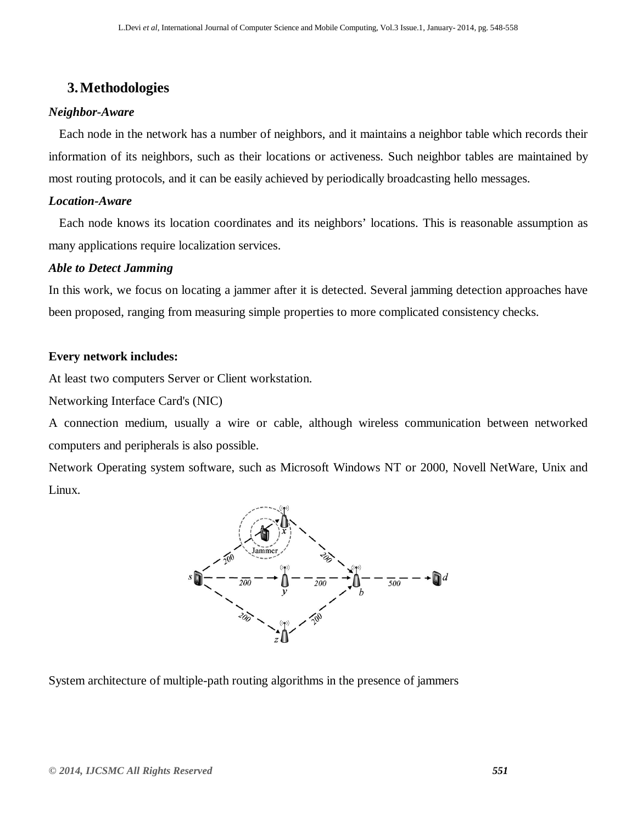# **3.Methodologies**

#### *Neighbor-Aware*

Each node in the network has a number of neighbors, and it maintains a neighbor table which records their information of its neighbors, such as their locations or activeness. Such neighbor tables are maintained by most routing protocols, and it can be easily achieved by periodically broadcasting hello messages.

#### *Location-Aware*

Each node knows its location coordinates and its neighbors' locations. This is reasonable assumption as many applications require localization services.

#### *Able to Detect Jamming*

In this work, we focus on locating a jammer after it is detected. Several jamming detection approaches have been proposed, ranging from measuring simple properties to more complicated consistency checks.

#### **Every network includes:**

At least two computers Server or Client workstation.

Networking Interface Card's (NIC)

A connection medium, usually a wire or cable, although wireless communication between networked computers and peripherals is also possible.

Network Operating system software, such as Microsoft Windows NT or 2000, Novell NetWare, Unix and Linux.



System architecture of multiple-path routing algorithms in the presence of jammers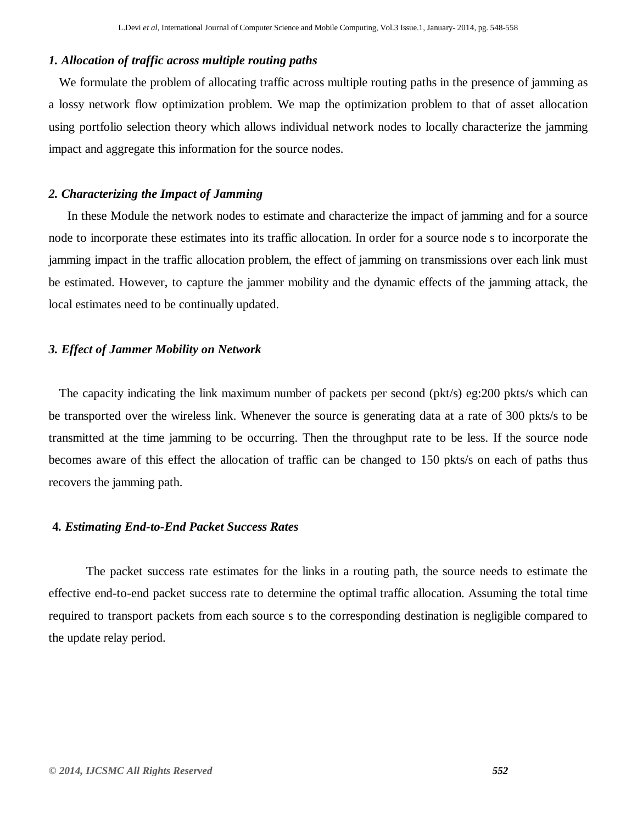#### *1. Allocation of traffic across multiple routing paths*

We formulate the problem of allocating traffic across multiple routing paths in the presence of jamming as a lossy network flow optimization problem. We map the optimization problem to that of asset allocation using portfolio selection theory which allows individual network nodes to locally characterize the jamming impact and aggregate this information for the source nodes.

#### *2. Characterizing the Impact of Jamming*

In these Module the network nodes to estimate and characterize the impact of jamming and for a source node to incorporate these estimates into its traffic allocation. In order for a source node s to incorporate the jamming impact in the traffic allocation problem, the effect of jamming on transmissions over each link must be estimated. However, to capture the jammer mobility and the dynamic effects of the jamming attack, the local estimates need to be continually updated.

#### *3. Effect of Jammer Mobility on Network*

The capacity indicating the link maximum number of packets per second (pkt/s) eg:200 pkts/s which can be transported over the wireless link. Whenever the source is generating data at a rate of 300 pkts/s to be transmitted at the time jamming to be occurring. Then the throughput rate to be less. If the source node becomes aware of this effect the allocation of traffic can be changed to 150 pkts/s on each of paths thus recovers the jamming path.

#### **4***. Estimating End-to-End Packet Success Rates*

The packet success rate estimates for the links in a routing path, the source needs to estimate the effective end-to-end packet success rate to determine the optimal traffic allocation. Assuming the total time required to transport packets from each source s to the corresponding destination is negligible compared to the update relay period.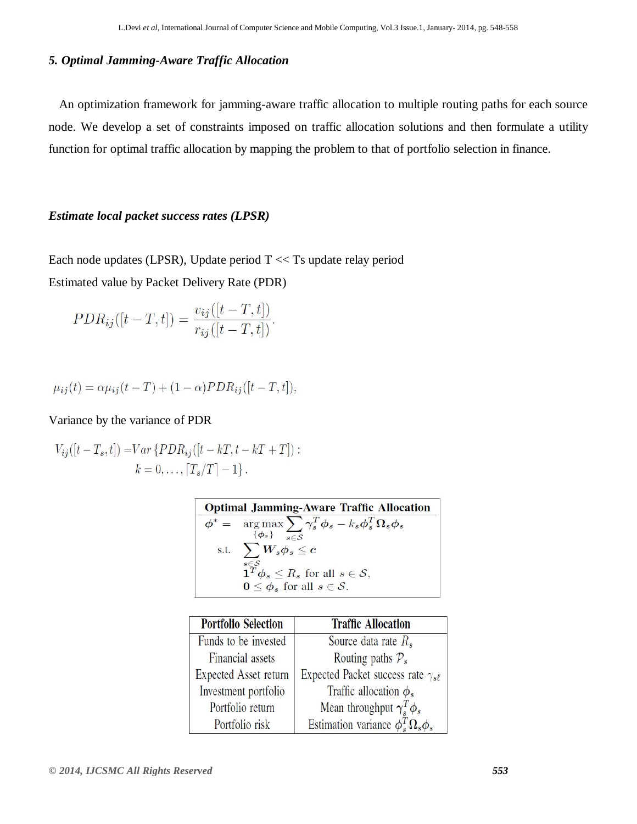#### *5. Optimal Jamming-Aware Traffic Allocation*

An optimization framework for jamming-aware traffic allocation to multiple routing paths for each source node. We develop a set of constraints imposed on traffic allocation solutions and then formulate a utility function for optimal traffic allocation by mapping the problem to that of portfolio selection in finance.

#### *Estimate local packet success rates (LPSR)*

Each node updates (LPSR), Update period T << Ts update relay period Estimated value by Packet Delivery Rate (PDR)

$$
PDR_{ij}([t-T, t]) = \frac{v_{ij}([t-T, t])}{r_{ij}([t-T, t])}.
$$

$$
\mu_{ij}(t) = \alpha \mu_{ij}(t - T) + (1 - \alpha) PDR_{ij}([t - T, t]),
$$

#### Variance by the variance of PDR

$$
V_{ij}([t - T_s, t]) = Var\{PDR_{ij}([t - kT, t - kT + T]):k = 0, ..., [T_s/T] - 1\}.
$$

| <b>Optimal Jamming-Aware Traffic Allocation</b> |                                                                                |  |
|-------------------------------------------------|--------------------------------------------------------------------------------|--|
|                                                 | $\phi^* = \arg \max \sum_{s} \gamma_s^T \phi_s - k_s \phi_s^T \Omega_s \phi_s$ |  |
|                                                 | $\{\phi_s\}$ $\overline{s \in S}$                                              |  |
|                                                 | s.t. $\sum W_s \phi_s \leq c$                                                  |  |
|                                                 | $s \in \mathcal{S}$                                                            |  |
|                                                 | $\mathbf{1}^T \boldsymbol{\phi}_s \leq R_s$ for all $s \in \mathcal{S}$ ,      |  |
|                                                 | $0 \leq \phi_s$ for all $s \in \mathcal{S}$ .                                  |  |

| <b>Portfolio Selection</b>   | <b>Traffic Allocation</b>                      |
|------------------------------|------------------------------------------------|
| Funds to be invested         | Source data rate $R_s$                         |
| Financial assets             | Routing paths $P_s$                            |
| <b>Expected Asset return</b> | Expected Packet success rate $\gamma_{s\ell}$  |
| Investment portfolio         | Traffic allocation $\phi_s$                    |
| Portfolio return             | Mean throughput $\gamma_s^T \phi_s$            |
| Portfolio risk               | Estimation variance $\phi_s^T \Omega_s \phi_s$ |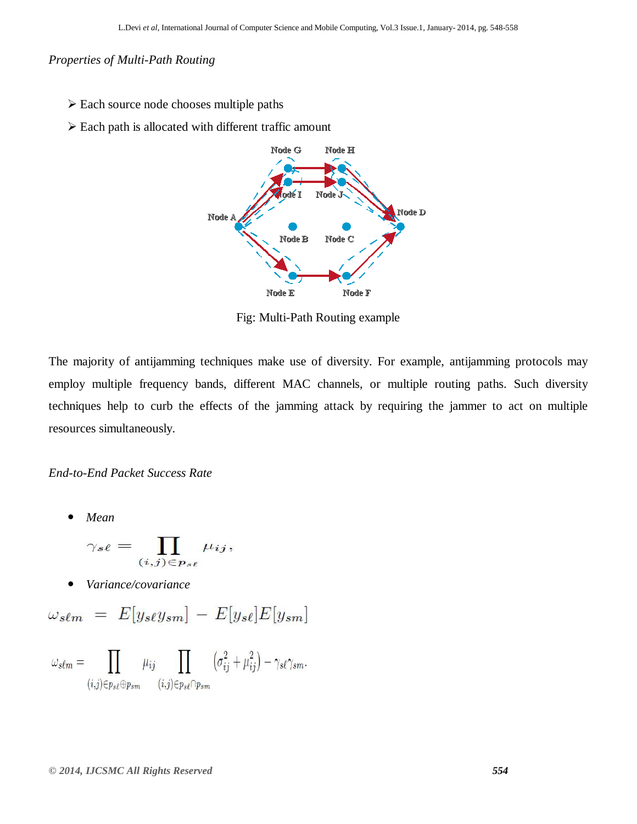*Properties of Multi-Path Routing*

- Each source node chooses multiple paths
- $\triangleright$  Each path is allocated with different traffic amount



Fig: Multi-Path Routing example

The majority of antijamming techniques make use of diversity. For example, antijamming protocols may employ multiple frequency bands, different MAC channels, or multiple routing paths. Such diversity techniques help to curb the effects of the jamming attack by requiring the jammer to act on multiple resources simultaneously.

*End-to-End Packet Success Rate*

*Mean*

$$
\gamma_{s\ell} = \prod_{(i,j)\in p_{s\ell}} \mu_{ij},
$$

*Variance/covariance*

$$
\omega_{\mathit{s\ell m}} = E[y_{\mathit{s\ell}}y_{\mathit{s\ell m}}] - E[y_{\mathit{s\ell}}]E[y_{\mathit{s\ell m}}]
$$

$$
\omega_{s\ell m}=\prod_{(i,j)\in p_{s\ell}\oplus p_{s m}}\mu_{ij}\prod_{(i,j)\in p_{s\ell}\cap p_{s m}}\left(\sigma_{ij}^2+\mu_{ij}^2\right)-\gamma_{s\ell}\gamma_{s m}.
$$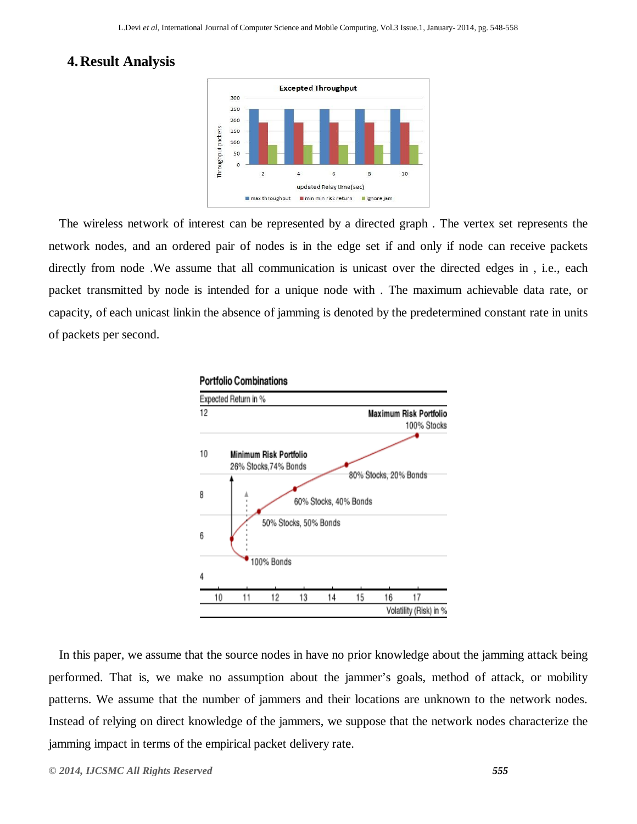# **4.Result Analysis**



The wireless network of interest can be represented by a directed graph . The vertex set represents the network nodes, and an ordered pair of nodes is in the edge set if and only if node can receive packets directly from node .We assume that all communication is unicast over the directed edges in , i.e., each packet transmitted by node is intended for a unique node with . The maximum achievable data rate, or capacity, of each unicast linkin the absence of jamming is denoted by the predetermined constant rate in units of packets per second.



In this paper, we assume that the source nodes in have no prior knowledge about the jamming attack being performed. That is, we make no assumption about the jammer's goals, method of attack, or mobility patterns. We assume that the number of jammers and their locations are unknown to the network nodes. Instead of relying on direct knowledge of the jammers, we suppose that the network nodes characterize the jamming impact in terms of the empirical packet delivery rate.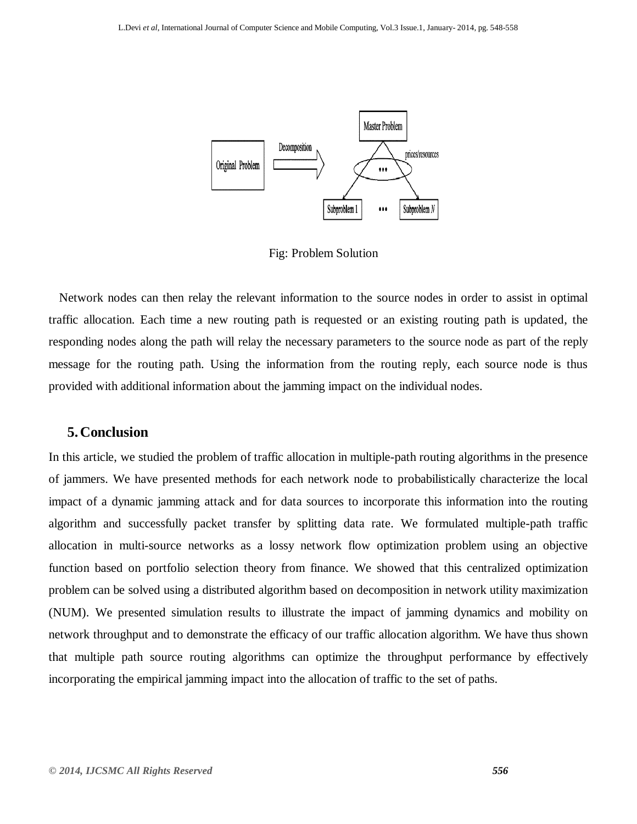

Fig: Problem Solution

Network nodes can then relay the relevant information to the source nodes in order to assist in optimal traffic allocation. Each time a new routing path is requested or an existing routing path is updated, the responding nodes along the path will relay the necessary parameters to the source node as part of the reply message for the routing path. Using the information from the routing reply, each source node is thus provided with additional information about the jamming impact on the individual nodes.

#### **5.Conclusion**

In this article, we studied the problem of traffic allocation in multiple-path routing algorithms in the presence of jammers. We have presented methods for each network node to probabilistically characterize the local impact of a dynamic jamming attack and for data sources to incorporate this information into the routing algorithm and successfully packet transfer by splitting data rate. We formulated multiple-path traffic allocation in multi-source networks as a lossy network flow optimization problem using an objective function based on portfolio selection theory from finance. We showed that this centralized optimization problem can be solved using a distributed algorithm based on decomposition in network utility maximization (NUM). We presented simulation results to illustrate the impact of jamming dynamics and mobility on network throughput and to demonstrate the efficacy of our traffic allocation algorithm. We have thus shown that multiple path source routing algorithms can optimize the throughput performance by effectively incorporating the empirical jamming impact into the allocation of traffic to the set of paths.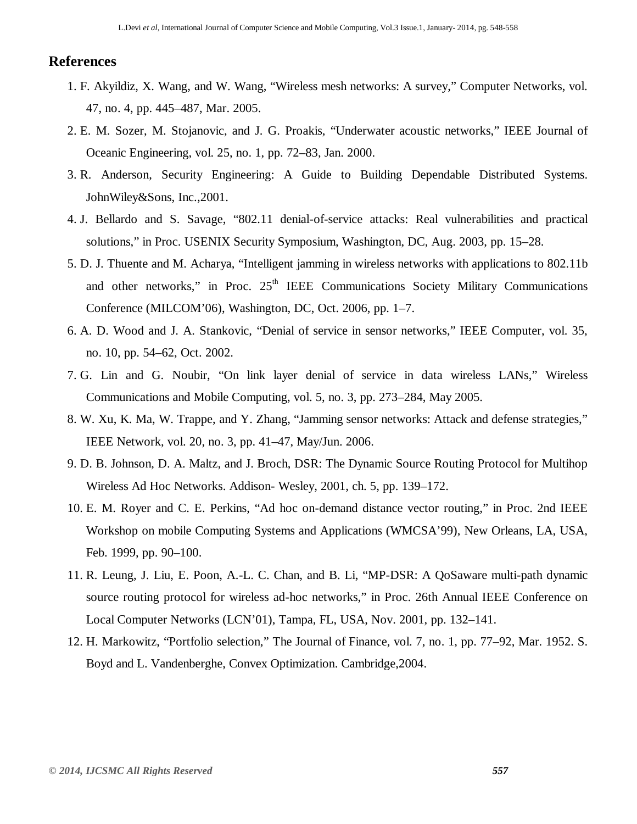#### **References**

- 1. F. Akyildiz, X. Wang, and W. Wang, "Wireless mesh networks: A survey," Computer Networks, vol. 47, no. 4, pp. 445–487, Mar. 2005.
- 2. E. M. Sozer, M. Stojanovic, and J. G. Proakis, "Underwater acoustic networks," IEEE Journal of Oceanic Engineering, vol. 25, no. 1, pp. 72–83, Jan. 2000.
- 3. R. Anderson, Security Engineering: A Guide to Building Dependable Distributed Systems. JohnWiley&Sons, Inc.,2001.
- 4. J. Bellardo and S. Savage, "802.11 denial-of-service attacks: Real vulnerabilities and practical solutions," in Proc. USENIX Security Symposium, Washington, DC, Aug. 2003, pp. 15–28.
- 5. D. J. Thuente and M. Acharya, "Intelligent jamming in wireless networks with applications to 802.11b and other networks," in Proc.  $25<sup>th</sup>$  IEEE Communications Society Military Communications Conference (MILCOM'06), Washington, DC, Oct. 2006, pp. 1–7.
- 6. A. D. Wood and J. A. Stankovic, "Denial of service in sensor networks," IEEE Computer, vol. 35, no. 10, pp. 54–62, Oct. 2002.
- 7. G. Lin and G. Noubir, "On link layer denial of service in data wireless LANs," Wireless Communications and Mobile Computing, vol. 5, no. 3, pp. 273–284, May 2005.
- 8. W. Xu, K. Ma, W. Trappe, and Y. Zhang, "Jamming sensor networks: Attack and defense strategies," IEEE Network, vol. 20, no. 3, pp. 41–47, May/Jun. 2006.
- 9. D. B. Johnson, D. A. Maltz, and J. Broch, DSR: The Dynamic Source Routing Protocol for Multihop Wireless Ad Hoc Networks. Addison- Wesley, 2001, ch. 5, pp. 139–172.
- 10. E. M. Royer and C. E. Perkins, "Ad hoc on-demand distance vector routing," in Proc. 2nd IEEE Workshop on mobile Computing Systems and Applications (WMCSA'99), New Orleans, LA, USA, Feb. 1999, pp. 90–100.
- 11. R. Leung, J. Liu, E. Poon, A.-L. C. Chan, and B. Li, "MP-DSR: A QoSaware multi-path dynamic source routing protocol for wireless ad-hoc networks," in Proc. 26th Annual IEEE Conference on Local Computer Networks (LCN'01), Tampa, FL, USA, Nov. 2001, pp. 132–141.
- 12. H. Markowitz, "Portfolio selection," The Journal of Finance, vol. 7, no. 1, pp. 77–92, Mar. 1952. S. Boyd and L. Vandenberghe, Convex Optimization. Cambridge,2004.